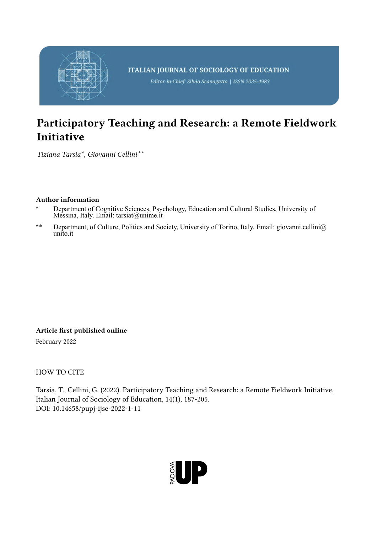

Editor-in-Chief: Silvio Scanagatta | ISSN 2035-4983

# Participatory Teaching and Research: a Remote Fieldwork Initiative

*Tiziana Tarsia\*, Giovanni Cellini\*\**

## Author information

- Department of Cognitive Sciences, Psychology, Education and Cultural Studies, University of Messina, Italy. Email: tarsiat@unime.it
- \*\* Department, of Culture, Politics and Society, University of Torino, Italy. Email: giovanni.cellini@ unito.it

Article first published online

February 2022

HOW TO CITE

Tarsia, T., Cellini, G. (2022). Participatory Teaching and Research: a Remote Fieldwork Initiative, Italian Journal of Sociology of Education, 14(1), 187-205. DOI: 10.14658/pupj-ijse-2022-1-11

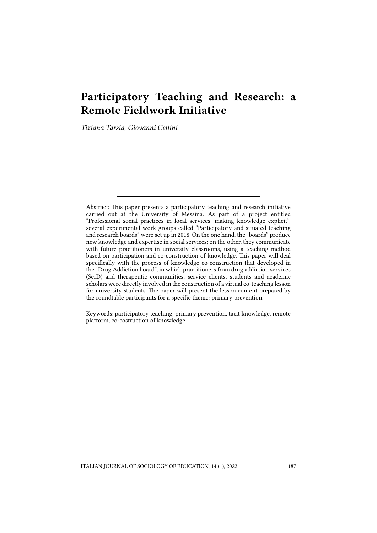## Participatory Teaching and Research: a Remote Fieldwork Initiative

*Tiziana Tarsia, Giovanni Cellini*

Abstract: This paper presents a participatory teaching and research initiative carried out at the University of Messina. As part of a project entitled "Professional social practices in local services: making knowledge explicit", several experimental work groups called "Participatory and situated teaching and research boards" were set up in 2018. On the one hand, the "boards" produce new knowledge and expertise in social services; on the other, they communicate with future practitioners in university classrooms, using a teaching method based on participation and co-construction of knowledge. This paper will deal specifically with the process of knowledge co-construction that developed in the "Drug Addiction board", in which practitioners from drug addiction services (SerD) and therapeutic communities, service clients, students and academic scholars were directly involved in the construction of a virtual co-teaching lesson for university students. The paper will present the lesson content prepared by the roundtable participants for a specific theme: primary prevention.

Keywords: participatory teaching, primary prevention, tacit knowledge, remote platform, co-costruction of knowledge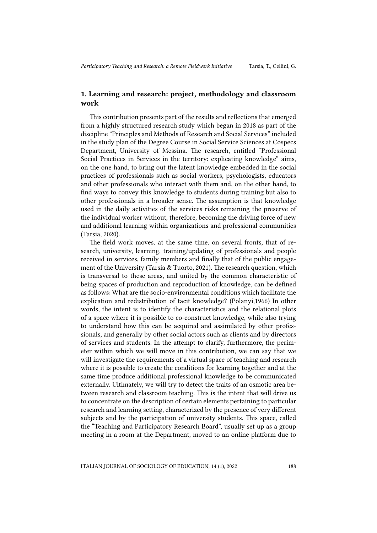## 1. Learning and research: project, methodology and classroom work

This contribution presents part of the results and reflections that emerged from a highly structured research study which began in 2018 as part of the discipline "Principles and Methods of Research and Social Services" included in the study plan of the Degree Course in Social Service Sciences at Cospecs Department, University of Messina. The research, entitled "Professional Social Practices in Services in the territory: explicating knowledge" aims, on the one hand, to bring out the latent knowledge embedded in the social practices of professionals such as social workers, psychologists, educators and other professionals who interact with them and, on the other hand, to find ways to convey this knowledge to students during training but also to other professionals in a broader sense. The assumption is that knowledge used in the daily activities of the services risks remaining the preserve of the individual worker without, therefore, becoming the driving force of new and additional learning within organizations and professional communities (Tarsia, 2020).

The field work moves, at the same time, on several fronts, that of research, university, learning, training/updating of professionals and people received in services, family members and finally that of the public engagement of the University (Tarsia & Tuorto, 2021). The research question, which is transversal to these areas, and united by the common characteristic of being spaces of production and reproduction of knowledge, can be defined as follows: What are the socio-environmental conditions which facilitate the explication and redistribution of tacit knowledge? (Polanyi,1966) In other words, the intent is to identify the characteristics and the relational plots of a space where it is possible to co-construct knowledge, while also trying to understand how this can be acquired and assimilated by other professionals, and generally by other social actors such as clients and by directors of services and students. In the attempt to clarify, furthermore, the perimeter within which we will move in this contribution, we can say that we will investigate the requirements of a virtual space of teaching and research where it is possible to create the conditions for learning together and at the same time produce additional professional knowledge to be communicated externally. Ultimately, we will try to detect the traits of an osmotic area between research and classroom teaching. This is the intent that will drive us to concentrate on the description of certain elements pertaining to particular research and learning setting, characterized by the presence of very different subjects and by the participation of university students. This space, called the "Teaching and Participatory Research Board", usually set up as a group meeting in a room at the Department, moved to an online platform due to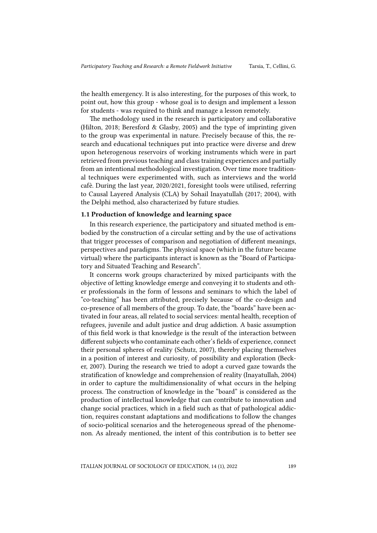the health emergency. It is also interesting, for the purposes of this work, to point out, how this group - whose goal is to design and implement a lesson for students - was required to think and manage a lesson remotely.

The methodology used in the research is participatory and collaborative (Hilton, 2018; Beresford & Glasby, 2005) and the type of imprinting given to the group was experimental in nature. Precisely because of this, the research and educational techniques put into practice were diverse and drew upon heterogenous reservoirs of working instruments which were in part retrieved from previous teaching and class training experiences and partially from an intentional methodological investigation. Over time more traditional techniques were experimented with, such as interviews and the world cafè. During the last year, 2020/2021, foresight tools were utilised, referring to Causal Layered Analysis (CLA) by Sohail Inayatullah (2017; 2004), with the Delphi method, also characterized by future studies.

#### 1.1 Production of knowledge and learning space

In this research experience, the participatory and situated method is embodied by the construction of a circular setting and by the use of activations that trigger processes of comparison and negotiation of different meanings, perspectives and paradigms. The physical space (which in the future became virtual) where the participants interact is known as the "Board of Participatory and Situated Teaching and Research".

It concerns work groups characterized by mixed participants with the objective of letting knowledge emerge and conveying it to students and other professionals in the form of lessons and seminars to which the label of "co-teaching" has been attributed, precisely because of the co-design and co-presence of all members of the group. To date, the "boards" have been activated in four areas, all related to social services: mental health, reception of refugees, juvenile and adult justice and drug addiction. A basic assumption of this field work is that knowledge is the result of the interaction between different subjects who contaminate each other's fields of experience, connect their personal spheres of reality (Schutz, 2007), thereby placing themselves in a position of interest and curiosity, of possibility and exploration (Becker, 2007). During the research we tried to adopt a curved gaze towards the stratification of knowledge and comprehension of reality (Inayatullah, 2004) in order to capture the multidimensionality of what occurs in the helping process. The construction of knowledge in the "board" is considered as the production of intellectual knowledge that can contribute to innovation and change social practices, which in a field such as that of pathological addiction, requires constant adaptations and modifications to follow the changes of socio-political scenarios and the heterogeneous spread of the phenomenon. As already mentioned, the intent of this contribution is to better see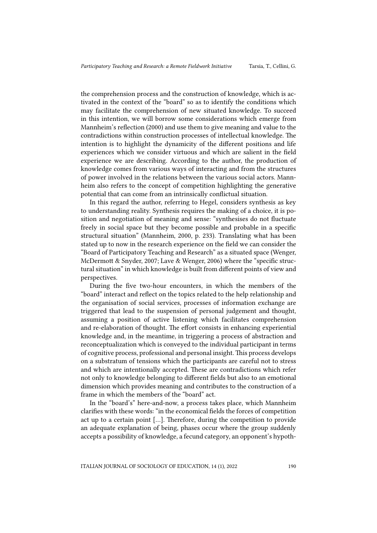the comprehension process and the construction of knowledge, which is activated in the context of the "board" so as to identify the conditions which may facilitate the comprehension of new situated knowledge. To succeed in this intention, we will borrow some considerations which emerge from Mannheim's reflection (2000) and use them to give meaning and value to the contradictions within construction processes of intellectual knowledge. The intention is to highlight the dynamicity of the different positions and life experiences which we consider virtuous and which are salient in the field experience we are describing. According to the author, the production of knowledge comes from various ways of interacting and from the structures of power involved in the relations between the various social actors. Mannheim also refers to the concept of competition highlighting the generative potential that can come from an intrinsically conflictual situation.

In this regard the author, referring to Hegel, considers synthesis as key to understanding reality. Synthesis requires the making of a choice, it is position and negotiation of meaning and sense: "synthesises do not fluctuate freely in social space but they become possible and probable in a specific structural situation" (Mannheim, 2000, p. 233). Translating what has been stated up to now in the research experience on the field we can consider the "Board of Participatory Teaching and Research" as a situated space (Wenger, McDermott & Snyder, 2007; Lave & Wenger, 2006) where the "specific structural situation" in which knowledge is built from different points of view and perspectives.

During the five two-hour encounters, in which the members of the "board" interact and reflect on the topics related to the help relationship and the organisation of social services, processes of information exchange are triggered that lead to the suspension of personal judgement and thought, assuming a position of active listening which facilitates comprehension and re-elaboration of thought. The effort consists in enhancing experiential knowledge and, in the meantime, in triggering a process of abstraction and reconceptualization which is conveyed to the individual participant in terms of cognitive process, professional and personal insight. This process develops on a substratum of tensions which the participants are careful not to stress and which are intentionally accepted. These are contradictions which refer not only to knowledge belonging to different fields but also to an emotional dimension which provides meaning and contributes to the construction of a frame in which the members of the "board" act.

In the "board's" here-and-now, a process takes place, which Mannheim clarifies with these words: "in the economical fields the forces of competition act up to a certain point […]. Therefore, during the competition to provide an adequate explanation of being, phases occur where the group suddenly accepts a possibility of knowledge, a fecund category, an opponent's hypoth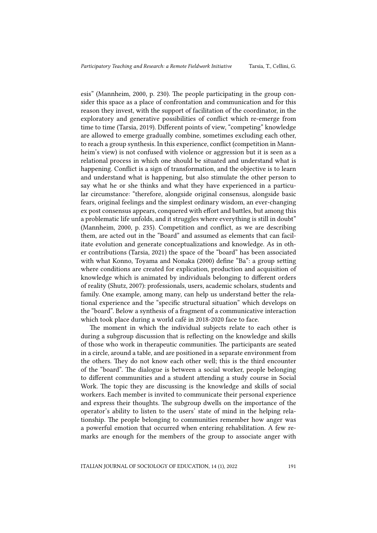esis" (Mannheim, 2000, p. 230). The people participating in the group consider this space as a place of confrontation and communication and for this reason they invest, with the support of facilitation of the coordinator, in the exploratory and generative possibilities of conflict which re-emerge from time to time (Tarsia, 2019). Different points of view, "competing" knowledge are allowed to emerge gradually combine, sometimes excluding each other, to reach a group synthesis. In this experience, conflict (competition in Mannheim's view) is not confused with violence or aggression but it is seen as a relational process in which one should be situated and understand what is happening. Conflict is a sign of transformation, and the objective is to learn and understand what is happening, but also stimulate the other person to say what he or she thinks and what they have experienced in a particular circumstance: "therefore, alongside original consensus, alongside basic fears, original feelings and the simplest ordinary wisdom, an ever-changing ex post consensus appears, conquered with effort and battles, but among this a problematic life unfolds, and it struggles where everything is still in doubt" (Mannheim, 2000, p. 235). Competition and conflict, as we are describing them, are acted out in the "Board" and assumed as elements that can facilitate evolution and generate conceptualizations and knowledge. As in other contributions (Tarsia, 2021) the space of the "board" has been associated with what Konno, Toyama and Nonaka (2000) define "Ba": a group setting where conditions are created for explication, production and acquisition of knowledge which is animated by individuals belonging to different orders of reality (Shutz, 2007): professionals, users, academic scholars, students and family. One example, among many, can help us understand better the relational experience and the "specific structural situation" which develops on the "board". Below a synthesis of a fragment of a communicative interaction which took place during a world café in 2018-2020 face to face.

The moment in which the individual subjects relate to each other is during a subgroup discussion that is reflecting on the knowledge and skills of those who work in therapeutic communities. The participants are seated in a circle, around a table, and are positioned in a separate environment from the others. They do not know each other well; this is the third encounter of the "board". The dialogue is between a social worker, people belonging to different communities and a student attending a study course in Social Work. The topic they are discussing is the knowledge and skills of social workers. Each member is invited to communicate their personal experience and express their thoughts. The subgroup dwells on the importance of the operator's ability to listen to the users' state of mind in the helping relationship. The people belonging to communities remember how anger was a powerful emotion that occurred when entering rehabilitation. A few remarks are enough for the members of the group to associate anger with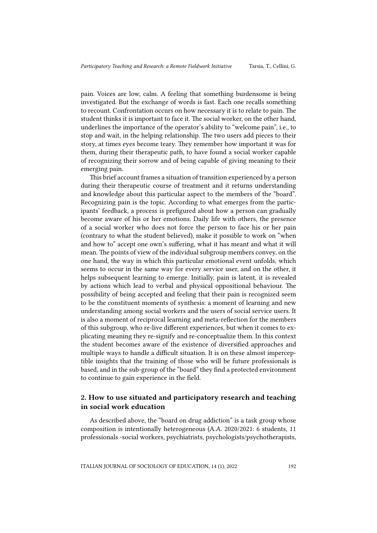pain. Voices are low, calm. A feeling that something burdensome is being investigated. But the exchange of words is fast. Each one recalls something to recount. Confrontation occurs on how necessary it is to relate to pain. The student thinks it is important to face it. The social worker, on the other hand, underlines the importance of the operator's ability to "welcome pain", i.e., to stop and wait, in the helping relationship. The two users add pieces to their story, at times eyes become teary. They remember how important it was for them, during their therapeutic path, to have found a social worker capable of recognizing their sorrow and of being capable of giving meaning to their emerging pain.

This brief account frames a situation of transition experienced by a person during their therapeutic course of treatment and it returns understanding and knowledge about this particular aspect to the members of the "board". Recognizing pain is the topic. According to what emerges from the participants' feedback, a process is prefigured about how a person can gradually become aware of his or her emotions. Daily life with others, the presence of a social worker who does not force the person to face his or her pain (contrary to what the student believed), make it possible to work on "when and how to" accept one own's suffering, what it has meant and what it will mean. The points of view of the individual subgroup members convey, on the one hand, the way in which this particular emotional event unfolds, which seems to occur in the same way for every service user, and on the other, it helps subsequent learning to emerge. Initially, pain is latent, it is revealed by actions which lead to verbal and physical oppositional behaviour. The possibility of being accepted and feeling that their pain is recognized seem to be the constituent moments of synthesis: a moment of learning and new understanding among social workers and the users of social service users. It is also a moment of reciprocal learning and meta-reflection for the members of this subgroup, who re-live different experiences, but when it comes to explicating meaning they re-signify and re-conceptualize them. In this context the student becomes aware of the existence of diversified approaches and multiple ways to handle a difficult situation. It is on these almost imperceptible insights that the training of those who will be future professionals is based, and in the sub-group of the "board" they find a protected environment to continue to gain experience in the field.

## 2. How to use situated and participatory research and teaching in social work education

As described above, the "board on drug addiction" is a task group whose composition is intentionally heterogeneous (A.A. 2020/2021: 6 students, 11 professionals -social workers, psychiatrists, psychologists/psychotherapists,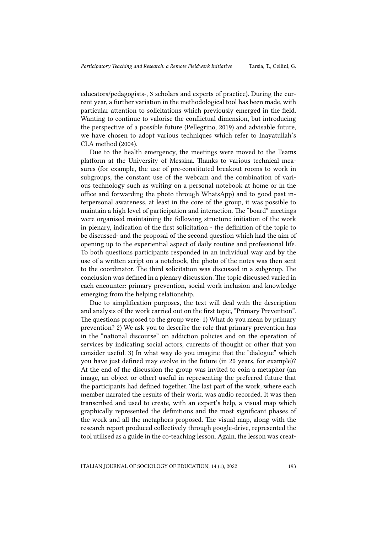educators/pedagogists-, 3 scholars and experts of practice). During the current year, a further variation in the methodological tool has been made, with particular attention to solicitations which previously emerged in the field. Wanting to continue to valorise the conflictual dimension, but introducing the perspective of a possible future (Pellegrino, 2019) and advisable future, we have chosen to adopt various techniques which refer to Inayatullah's CLA method (2004).

Due to the health emergency, the meetings were moved to the Teams platform at the University of Messina. Thanks to various technical measures (for example, the use of pre-constituted breakout rooms to work in subgroups, the constant use of the webcam and the combination of various technology such as writing on a personal notebook at home or in the office and forwarding the photo through WhatsApp) and to good past interpersonal awareness, at least in the core of the group, it was possible to maintain a high level of participation and interaction. The "board" meetings were organised maintaining the following structure: initiation of the work in plenary, indication of the first solicitation - the definition of the topic to be discussed- and the proposal of the second question which had the aim of opening up to the experiential aspect of daily routine and professional life. To both questions participants responded in an individual way and by the use of a written script on a notebook, the photo of the notes was then sent to the coordinator. The third solicitation was discussed in a subgroup. The conclusion was defined in a plenary discussion. The topic discussed varied in each encounter: primary prevention, social work inclusion and knowledge emerging from the helping relationship.

Due to simplification purposes, the text will deal with the description and analysis of the work carried out on the first topic, "Primary Prevention". The questions proposed to the group were: 1) What do you mean by primary prevention? 2) We ask you to describe the role that primary prevention has in the "national discourse" on addiction policies and on the operation of services by indicating social actors, currents of thought or other that you consider useful. 3) In what way do you imagine that the "dialogue" which you have just defined may evolve in the future (in 20 years, for example)? At the end of the discussion the group was invited to coin a metaphor (an image, an object or other) useful in representing the preferred future that the participants had defined together. The last part of the work, where each member narrated the results of their work, was audio recorded. It was then transcribed and used to create, with an expert's help, a visual map which graphically represented the definitions and the most significant phases of the work and all the metaphors proposed. The visual map, along with the research report produced collectively through google-drive, represented the tool utilised as a guide in the co-teaching lesson. Again, the lesson was creat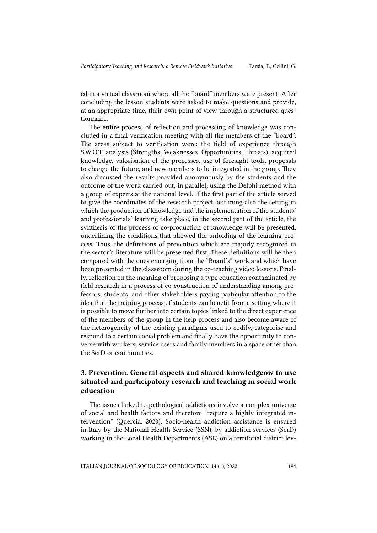ed in a virtual classroom where all the "board" members were present. After concluding the lesson students were asked to make questions and provide, at an appropriate time, their own point of view through a structured questionnaire.

The entire process of reflection and processing of knowledge was concluded in a final verification meeting with all the members of the "board". The areas subject to verification were: the field of experience through S.W.O.T. analysis (Strengths, Weaknesses, Opportunities, Threats), acquired knowledge, valorisation of the processes, use of foresight tools, proposals to change the future, and new members to be integrated in the group. They also discussed the results provided anonymously by the students and the outcome of the work carried out, in parallel, using the Delphi method with a group of experts at the national level. If the first part of the article served to give the coordinates of the research project, outlining also the setting in which the production of knowledge and the implementation of the students' and professionals' learning take place, in the second part of the article, the synthesis of the process of co-production of knowledge will be presented, underlining the conditions that allowed the unfolding of the learning process. Thus, the definitions of prevention which are majorly recognized in the sector's literature will be presented first. These definitions will be then compared with the ones emerging from the "Board's" work and which have been presented in the classroom during the co-teaching video lessons. Finally, reflection on the meaning of proposing a type education contaminated by field research in a process of co-construction of understanding among professors, students, and other stakeholders paying particular attention to the idea that the training process of students can benefit from a setting where it is possible to move further into certain topics linked to the direct experience of the members of the group in the help process and also become aware of the heterogeneity of the existing paradigms used to codify, categorise and respond to a certain social problem and finally have the opportunity to converse with workers, service users and family members in a space other than the SerD or communities.

## 3. Prevention. General aspects and shared knowledgeow to use situated and participatory research and teaching in social work education

The issues linked to pathological addictions involve a complex universe of social and health factors and therefore "require a highly integrated intervention" (Quercia, 2020). Socio-health addiction assistance is ensured in Italy by the National Health Service (SSN), by addiction services (SerD) working in the Local Health Departments (ASL) on a territorial district lev-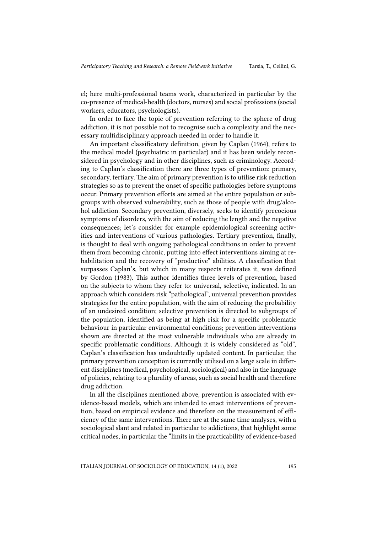el; here multi-professional teams work, characterized in particular by the co-presence of medical-health (doctors, nurses) and social professions (social workers, educators, psychologists).

In order to face the topic of prevention referring to the sphere of drug addiction, it is not possible not to recognise such a complexity and the necessary multidisciplinary approach needed in order to handle it.

An important classificatory definition, given by Caplan (1964), refers to the medical model (psychiatric in particular) and it has been widely reconsidered in psychology and in other disciplines, such as criminology. According to Caplan's classification there are three types of prevention: primary, secondary, tertiary. The aim of primary prevention is to utilise risk reduction strategies so as to prevent the onset of specific pathologies before symptoms occur. Primary prevention efforts are aimed at the entire population or subgroups with observed vulnerability, such as those of people with drug/alcohol addiction. Secondary prevention, diversely, seeks to identify precocious symptoms of disorders, with the aim of reducing the length and the negative consequences; let's consider for example epidemiological screening activities and interventions of various pathologies. Tertiary prevention, finally, is thought to deal with ongoing pathological conditions in order to prevent them from becoming chronic, putting into effect interventions aiming at rehabilitation and the recovery of "productive" abilities. A classification that surpasses Caplan's, but which in many respects reiterates it, was defined by Gordon (1983). This author identifies three levels of prevention, based on the subjects to whom they refer to: universal, selective, indicated. In an approach which considers risk "pathological", universal prevention provides strategies for the entire population, with the aim of reducing the probability of an undesired condition; selective prevention is directed to subgroups of the population, identified as being at high risk for a specific problematic behaviour in particular environmental conditions; prevention interventions shown are directed at the most vulnerable individuals who are already in specific problematic conditions. Although it is widely considered as "old", Caplan's classification has undoubtedly updated content. In particular, the primary prevention conception is currently utilised on a large scale in different disciplines (medical, psychological, sociological) and also in the language of policies, relating to a plurality of areas, such as social health and therefore drug addiction.

In all the disciplines mentioned above, prevention is associated with evidence-based models, which are intended to enact interventions of prevention, based on empirical evidence and therefore on the measurement of efficiency of the same interventions. There are at the same time analyses, with a sociological slant and related in particular to addictions, that highlight some critical nodes, in particular the "limits in the practicability of evidence-based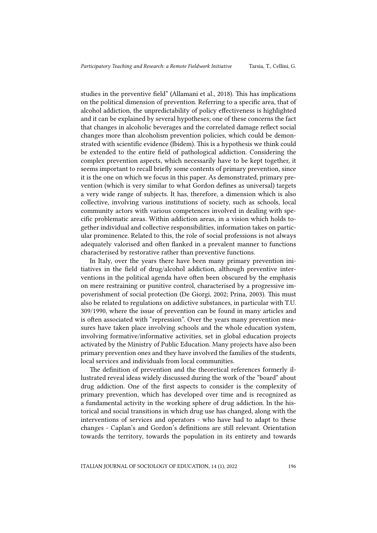studies in the preventive field" (Allamani et al., 2018). This has implications on the political dimension of prevention. Referring to a specific area, that of alcohol addiction, the unpredictability of policy effectiveness is highlighted and it can be explained by several hypotheses; one of these concerns the fact that changes in alcoholic beverages and the correlated damage reflect social changes more than alcoholism prevention policies, which could be demonstrated with scientific evidence (Ibidem). This is a hypothesis we think could be extended to the entire field of pathological addiction. Considering the complex prevention aspects, which necessarily have to be kept together, it seems important to recall briefly some contents of primary prevention, since it is the one on which we focus in this paper. As demonstrated, primary prevention (which is very similar to what Gordon defines as universal) targets a very wide range of subjects. It has, therefore, a dimension which is also collective, involving various institutions of society, such as schools, local community actors with various competences involved in dealing with specific problematic areas. Within addiction areas, in a vision which holds together individual and collective responsibilities, information takes on particular prominence. Related to this, the role of social professions is not always adequately valorised and often flanked in a prevalent manner to functions characterised by restorative rather than preventive functions.

In Italy, over the years there have been many primary prevention initiatives in the field of drug/alcohol addiction, although preventive interventions in the political agenda have often been obscured by the emphasis on mere restraining or punitive control, characterised by a progressive impoverishment of social protection (De Giorgi, 2002; Prina, 2003). This must also be related to regulations on addictive substances, in particular with T.U. 309/1990, where the issue of prevention can be found in many articles and is often associated with "repression". Over the years many prevention measures have taken place involving schools and the whole education system, involving formative/informative activities, set in global education projects activated by the Ministry of Public Education. Many projects have also been primary prevention ones and they have involved the families of the students, local services and individuals from local communities.

The definition of prevention and the theoretical references formerly illustrated reveal ideas widely discussed during the work of the "board" about drug addiction. One of the first aspects to consider is the complexity of primary prevention, which has developed over time and is recognized as a fundamental activity in the working sphere of drug addiction. In the historical and social transitions in which drug use has changed, along with the interventions of services and operators - who have had to adapt to these changes - Caplan's and Gordon's definitions are still relevant. Orientation towards the territory, towards the population in its entirety and towards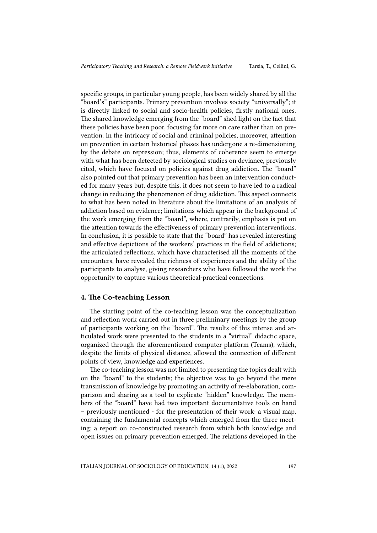specific groups, in particular young people, has been widely shared by all the "board's" participants. Primary prevention involves society "universally"; it is directly linked to social and socio-health policies, firstly national ones. The shared knowledge emerging from the "board" shed light on the fact that these policies have been poor, focusing far more on care rather than on prevention. In the intricacy of social and criminal policies, moreover, attention on prevention in certain historical phases has undergone a re-dimensioning by the debate on repression; thus, elements of coherence seem to emerge with what has been detected by sociological studies on deviance, previously cited, which have focused on policies against drug addiction. The "board" also pointed out that primary prevention has been an intervention conducted for many years but, despite this, it does not seem to have led to a radical change in reducing the phenomenon of drug addiction. This aspect connects to what has been noted in literature about the limitations of an analysis of addiction based on evidence; limitations which appear in the background of the work emerging from the "board", where, contrarily, emphasis is put on the attention towards the effectiveness of primary prevention interventions. In conclusion, it is possible to state that the "board" has revealed interesting and effective depictions of the workers' practices in the field of addictions; the articulated reflections, which have characterised all the moments of the encounters, have revealed the richness of experiences and the ability of the participants to analyse, giving researchers who have followed the work the opportunity to capture various theoretical-practical connections.

#### 4. The Co-teaching Lesson

The starting point of the co-teaching lesson was the conceptualization and reflection work carried out in three preliminary meetings by the group of participants working on the "board". The results of this intense and articulated work were presented to the students in a "virtual" didactic space, organized through the aforementioned computer platform (Teams), which, despite the limits of physical distance, allowed the connection of different points of view, knowledge and experiences.

The co-teaching lesson was not limited to presenting the topics dealt with on the "board" to the students; the objective was to go beyond the mere transmission of knowledge by promoting an activity of re-elaboration, comparison and sharing as a tool to explicate "hidden" knowledge. The members of the "board" have had two important documentative tools on hand – previously mentioned - for the presentation of their work: a visual map, containing the fundamental concepts which emerged from the three meeting; a report on co-constructed research from which both knowledge and open issues on primary prevention emerged. The relations developed in the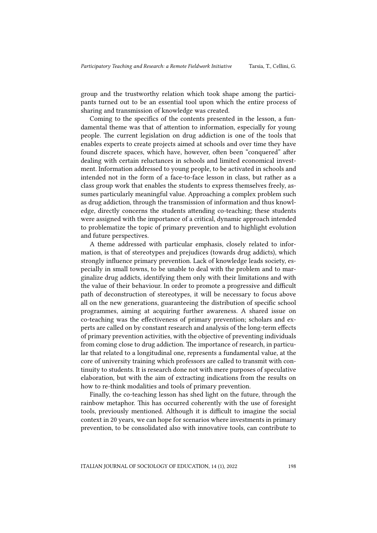group and the trustworthy relation which took shape among the participants turned out to be an essential tool upon which the entire process of sharing and transmission of knowledge was created.

Coming to the specifics of the contents presented in the lesson, a fundamental theme was that of attention to information, especially for young people. The current legislation on drug addiction is one of the tools that enables experts to create projects aimed at schools and over time they have found discrete spaces, which have, however, often been "conquered" after dealing with certain reluctances in schools and limited economical investment. Information addressed to young people, to be activated in schools and intended not in the form of a face-to-face lesson in class, but rather as a class group work that enables the students to express themselves freely, assumes particularly meaningful value. Approaching a complex problem such as drug addiction, through the transmission of information and thus knowledge, directly concerns the students attending co-teaching; these students were assigned with the importance of a critical, dynamic approach intended to problematize the topic of primary prevention and to highlight evolution and future perspectives.

A theme addressed with particular emphasis, closely related to information, is that of stereotypes and prejudices (towards drug addicts), which strongly influence primary prevention. Lack of knowledge leads society, especially in small towns, to be unable to deal with the problem and to marginalize drug addicts, identifying them only with their limitations and with the value of their behaviour. In order to promote a progressive and difficult path of deconstruction of stereotypes, it will be necessary to focus above all on the new generations, guaranteeing the distribution of specific school programmes, aiming at acquiring further awareness. A shared issue on co-teaching was the effectiveness of primary prevention; scholars and experts are called on by constant research and analysis of the long-term effects of primary prevention activities, with the objective of preventing individuals from coming close to drug addiction. The importance of research, in particular that related to a longitudinal one, represents a fundamental value, at the core of university training which professors are called to transmit with continuity to students. It is research done not with mere purposes of speculative elaboration, but with the aim of extracting indications from the results on how to re-think modalities and tools of primary prevention.

Finally, the co-teaching lesson has shed light on the future, through the rainbow metaphor. This has occurred coherently with the use of foresight tools, previously mentioned. Although it is difficult to imagine the social context in 20 years, we can hope for scenarios where investments in primary prevention, to be consolidated also with innovative tools, can contribute to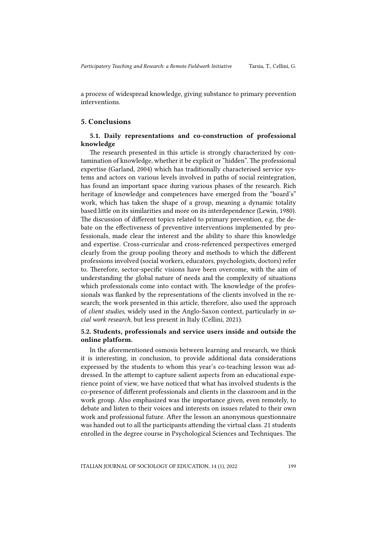a process of widespread knowledge, giving substance to primary prevention interventions.

#### 5. Conclusions

#### 5.1. Daily representations and co-construction of professional knowledge

The research presented in this article is strongly characterized by contamination of knowledge, whether it be explicit or "hidden". The professional expertise (Garland, 2004) which has traditionally characterised service systems and actors on various levels involved in paths of social reintegration, has found an important space during various phases of the research. Rich heritage of knowledge and competences have emerged from the "board's" work, which has taken the shape of a group, meaning a dynamic totality based little on its similarities and more on its interdependence (Lewin, 1980). The discussion of different topics related to primary prevention, e.g. the debate on the effectiveness of preventive interventions implemented by professionals, made clear the interest and the ability to share this knowledge and expertise. Cross-curricular and cross-referenced perspectives emerged clearly from the group pooling theory and methods to which the different professions involved (social workers, educators, psychologists, doctors) refer to. Therefore, sector-specific visions have been overcome, with the aim of understanding the global nature of needs and the complexity of situations which professionals come into contact with. The knowledge of the professionals was flanked by the representations of the clients involved in the research; the work presented in this article, therefore, also used the approach of *client studies*, widely used in the Anglo-Saxon context, particularly in *social work research*, but less present in Italy (Cellini, 2021).

### 5.2. Students, professionals and service users inside and outside the online platform.

In the aforementioned osmosis between learning and research, we think it is interesting, in conclusion, to provide additional data considerations expressed by the students to whom this year's co-teaching lesson was addressed. In the attempt to capture salient aspects from an educational experience point of view, we have noticed that what has involved students is the co-presence of different professionals and clients in the classroom and in the work group. Also emphasized was the importance given, even remotely, to debate and listen to their voices and interests on issues related to their own work and professional future. After the lesson an anonymous questionnaire was handed out to all the participants attending the virtual class. 21 students enrolled in the degree course in Psychological Sciences and Techniques. The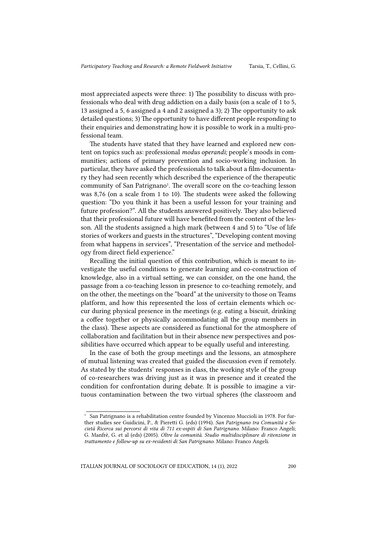most appreciated aspects were three: 1) The possibility to discuss with professionals who deal with drug addiction on a daily basis (on a scale of 1 to 5, 13 assigned a 5, 6 assigned a 4 and 2 assigned a 3); 2) The opportunity to ask detailed questions; 3) The opportunity to have different people responding to their enquiries and demonstrating how it is possible to work in a multi-professional team.

The students have stated that they have learned and explored new content on topics such as: professional *modus operandi;* people's moods in communities; actions of primary prevention and socio-working inclusion. In particular, they have asked the professionals to talk about a film-documentary they had seen recently which described the experience of the therapeutic community of San Patrignano<sup>1</sup>. The overall score on the co-teaching lesson was 8,76 (on a scale from 1 to 10). The students were asked the following question: "Do you think it has been a useful lesson for your training and future profession?". All the students answered positively. They also believed that their professional future will have benefited from the content of the lesson. All the students assigned a high mark (between 4 and 5) to "Use of life stories of workers and guests in the structures", "Developing content moving from what happens in services", "Presentation of the service and methodology from direct field experience."

Recalling the initial question of this contribution, which is meant to investigate the useful conditions to generate learning and co-construction of knowledge, also in a virtual setting, we can consider, on the one hand, the passage from a co-teaching lesson in presence to co-teaching remotely, and on the other, the meetings on the "board" at the university to those on Teams platform, and how this represented the loss of certain elements which occur during physical presence in the meetings (e.g. eating a biscuit, drinking a coffee together or physically accommodating all the group members in the class). These aspects are considered as functional for the atmosphere of collaboration and facilitation but in their absence new perspectives and possibilities have occurred which appear to be equally useful and interesting.

In the case of both the group meetings and the lessons, an atmosphere of mutual listening was created that guided the discussion even if remotely. As stated by the students' responses in class, the working style of the group of co-researchers was driving just as it was in presence and it created the condition for confrontation during debate. It is possible to imagine a virtuous contamination between the two virtual spheres (the classroom and

<sup>&</sup>lt;sup>1</sup> San Patrignano is a rehabilitation centre founded by Vincenzo Muccioli in 1978. For further studies see Guidicini, P., & Pieretti G. (eds) (1994). *San Patrignano tra Comunità e Società Ricerca sui percorsi di vita di 711 ex-ospiti di San Patrignano*. Milano: Franco Angeli; G. Manfrè, G. et al (eds) (2005). *Oltre la comunità. Studio multidisciplinare di ritenzione in trattamento e follow-up su ex-residenti di San Patrignano*. Milano: Franco Angeli.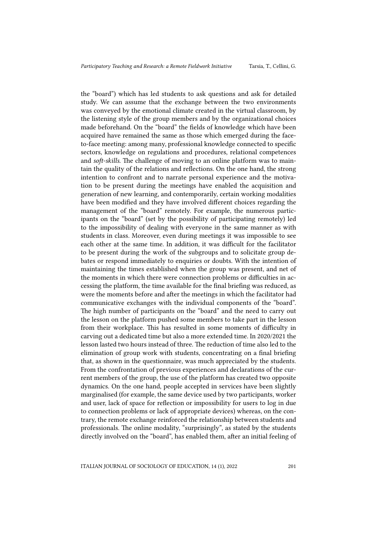the "board") which has led students to ask questions and ask for detailed study. We can assume that the exchange between the two environments was conveyed by the emotional climate created in the virtual classroom, by the listening style of the group members and by the organizational choices made beforehand. On the "board" the fields of knowledge which have been acquired have remained the same as those which emerged during the faceto-face meeting: among many, professional knowledge connected to specific sectors, knowledge on regulations and procedures, relational competences and *soft-skills*. The challenge of moving to an online platform was to maintain the quality of the relations and reflections. On the one hand, the strong intention to confront and to narrate personal experience and the motivation to be present during the meetings have enabled the acquisition and generation of new learning, and contemporarily, certain working modalities have been modified and they have involved different choices regarding the management of the "board" remotely. For example, the numerous participants on the "board" (set by the possibility of participating remotely) led to the impossibility of dealing with everyone in the same manner as with students in class. Moreover, even during meetings it was impossible to see each other at the same time. In addition, it was difficult for the facilitator to be present during the work of the subgroups and to solicitate group debates or respond immediately to enquiries or doubts. With the intention of maintaining the times established when the group was present, and net of the moments in which there were connection problems or difficulties in accessing the platform, the time available for the final briefing was reduced, as were the moments before and after the meetings in which the facilitator had communicative exchanges with the individual components of the "board". The high number of participants on the "board" and the need to carry out the lesson on the platform pushed some members to take part in the lesson from their workplace. This has resulted in some moments of difficulty in carving out a dedicated time but also a more extended time. In 2020/2021 the lesson lasted two hours instead of three. The reduction of time also led to the elimination of group work with students, concentrating on a final briefing that, as shown in the questionnaire, was much appreciated by the students. From the confrontation of previous experiences and declarations of the current members of the group, the use of the platform has created two opposite dynamics. On the one hand, people accepted in services have been slightly marginalised (for example, the same device used by two participants, worker and user, lack of space for reflection or impossibility for users to log in due to connection problems or lack of appropriate devices) whereas, on the contrary, the remote exchange reinforced the relationship between students and professionals. The online modality, "surprisingly", as stated by the students directly involved on the "board", has enabled them, after an initial feeling of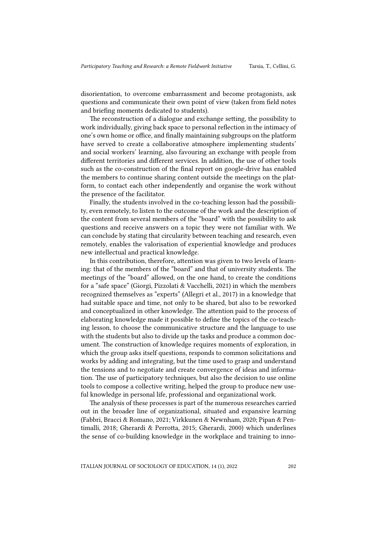disorientation, to overcome embarrassment and become protagonists, ask questions and communicate their own point of view (taken from field notes and briefing moments dedicated to students).

The reconstruction of a dialogue and exchange setting, the possibility to work individually, giving back space to personal reflection in the intimacy of one's own home or office, and finally maintaining subgroups on the platform have served to create a collaborative atmosphere implementing students' and social workers' learning, also favouring an exchange with people from different territories and different services. In addition, the use of other tools such as the co-construction of the final report on google-drive has enabled the members to continue sharing content outside the meetings on the platform, to contact each other independently and organise the work without the presence of the facilitator.

Finally, the students involved in the co-teaching lesson had the possibility, even remotely, to listen to the outcome of the work and the description of the content from several members of the "board" with the possibility to ask questions and receive answers on a topic they were not familiar with. We can conclude by stating that circularity between teaching and research, even remotely, enables the valorisation of experiential knowledge and produces new intellectual and practical knowledge.

In this contribution, therefore, attention was given to two levels of learning: that of the members of the "board" and that of university students. The meetings of the "board" allowed, on the one hand, to create the conditions for a "safe space" (Giorgi, Pizzolati & Vacchelli, 2021) in which the members recognized themselves as "experts" (Allegri et al., 2017) in a knowledge that had suitable space and time, not only to be shared, but also to be reworked and conceptualized in other knowledge. The attention paid to the process of elaborating knowledge made it possible to define the topics of the co-teaching lesson, to choose the communicative structure and the language to use with the students but also to divide up the tasks and produce a common document. The construction of knowledge requires moments of exploration, in which the group asks itself questions, responds to common solicitations and works by adding and integrating, but the time used to grasp and understand the tensions and to negotiate and create convergence of ideas and information. The use of participatory techniques, but also the decision to use online tools to compose a collective writing, helped the group to produce new useful knowledge in personal life, professional and organizational work.

The analysis of these processes is part of the numerous researches carried out in the broader line of organizational, situated and expansive learning (Fabbri, Bracci & Romano, 2021; Virkkunen & Newnham, 2020; Pipan & Pentimalli, 2018; Gherardi & Perrotta, 2015; Gherardi, 2000) which underlines the sense of co-building knowledge in the workplace and training to inno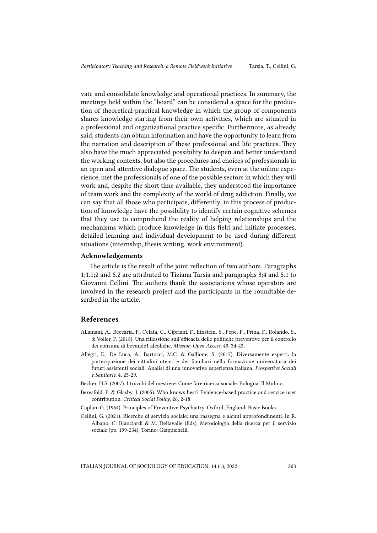vate and consolidate knowledge and operational practices. In summary, the meetings held within the "board" can be considered a space for the production of theoretical-practical knowledge in which the group of components shares knowledge starting from their own activities, which are situated in a professional and organizational practice specific. Furthermore, as already said, students can obtain information and have the opportunity to learn from the narration and description of these professional and life practices. They also have the much appreciated possibility to deepen and better understand the working contexts, but also the procedures and choices of professionals in an open and attentive dialogue space. The students, even at the online experience, met the professionals of one of the possible sectors in which they will work and, despite the short time available, they understood the importance of team work and the complexity of the world of drug addiction. Finally, we can say that all those who participate, differently, in this process of production of knowledge have the possibility to identify certain cognitive schemes that they use to comprehend the reality of helping relationships and the mechanisms which produce knowledge in this field and initiate processes, detailed learning and individual development to be used during different situations (internship, thesis writing, work environment).

#### Acknowledgements

The article is the result of the joint reflection of two authors. Paragraphs 1;1.1;2 and 5.2 are attributed to Tiziana Tarsia and paragraphs 3;4 and 5.1 to Giovanni Cellini. The authors thank the associations whose operators are involved in the research project and the participants in the roundtable described in the article.

#### References

- Allamani, A., Beccaria, F., Celata, C., Cipriani, F., Einstein, S., Pepe, P., Prina, F., Rolando, S., & Voller, F. (2018). Una riflessione sull'efficacia delle politiche preventive per il controllo dei consumi di bevande1 alcoliche*. Mission-Open Access*, 49, 34-43.
- Allegri, E., De Luca, A., Bartocci, M.C. & Gallione, S. (2017). Diversamente esperti: la partecipazione dei cittadini utenti e dei familiari nella formazione universitaria dei futuri assistenti sociali. Analisi di una innovativa esperienza italiana. *Prospettive Sociali e Sanitarie,* 4, 25-29.
- Becker, H.S. (2007). I trucchi del mestiere. Come fare ricerca sociale. Bologna: Il Mulino.
- Beresfold, P. & Glasby, J. (2005). Who knows best? Evidence-based practice and service user contribution. *Critical Social Policy*, 26, 2-18
- Caplan, G. (1964). Principles of Preventive Psychiatry. Oxford, England: Basic Books.
- Cellini, G. (2021). Ricerche di servizio sociale: una rassegna e alcuni approfondimenti. In R. Albano, C. Bianciardi & M. Dellavalle (Eds), Metodologia della ricerca per il servizio sociale (pp. 199-234). Torino: Giappichelli.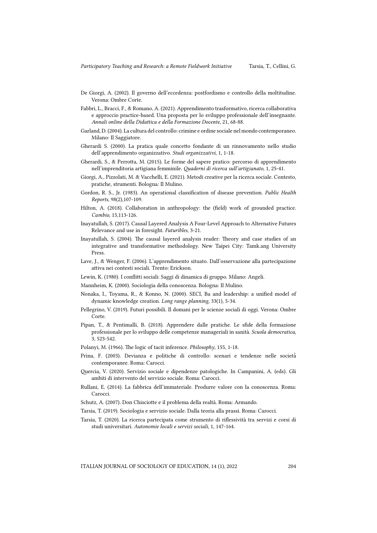- De Giorgi, A. (2002). Il governo dell'eccedenza: postfordismo e controllo della moltitudine. Verona: Ombre Corte.
- Fabbri, L., Bracci, F., & Romano, A. (2021). Apprendimento trasformativo, ricerca collaborativa e approccio practice-based. Una proposta per lo sviluppo professionale dell'insegnante. *Annali online della Didattica e della Formazione Docente*, 21, 68-88.
- Garland, D. (2004). La cultura del controllo: crimine e ordine sociale nel mondo contemporaneo. Milano: Il Saggiatore.
- Gherardi S. (2000). La pratica quale concetto fondante di un rinnovamento nello studio dell'apprendimento organizzativo. *Studi organizzativi*, 1, 1-18.
- Gherardi, S., & Perrotta, M. (2015). Le forme del sapere pratico: percorso di apprendimento nell'imprenditoria artigiana femminile. *Quaderni di ricerca sull'artigianato*, 1, 25-41.
- Giorgi, A., Pizzolati, M. & Vacchelli, E. (2021). Metodi creative per la ricerca sociale. Contesto, pratiche, strumenti. Bologna: Il Mulino.
- Gordon, R. S., Jr. (1983). An operational classification of disease prevention. *Public Health Reports*, 98(2),107-109.
- Hilton, A. (2018). Collaboration in anthropology: the (field) work of grounded practice. *Cambio*, 15,113-126.
- Inayatullah, S. (2017). Causal Layered Analysis A Four-Level Approach to Alternative Futures Relevance and use in foresight. *Futuribles*, 3-21.
- Inayatullah, S. (2004). The causal layered analysis reader: Theory and case studies of an integrative and transformative methodology. New Taipei City: Tamk.ang University Press.
- Lave, J., & Wenger, F. (2006). L'apprendimento situato. Dall'osservazione alla partecipazione attiva nei contesti sociali. Trento: Erickson.
- Lewin, K. (1980). I conflitti sociali: Saggi di dinamica di gruppo. Milano: Angeli.
- Mannheim, K. (2000). Sociologia della conoscenza. Bologna: Il Mulino.
- Nonaka, I., Toyama, R., & Konno, N. (2000). SECI, Ba and leadership: a unified model of dynamic knowledge creation. *Long range planning*, 33(1), 5-34.
- Pellegrino, V. (2019). Futuri possibili. Il domani per le scienze sociali di oggi. Verona: Ombre Corte.
- Pipan, T., & Pentimalli, B. (2018). Apprendere dalle pratiche. Le sfide della formazione professionale per lo sviluppo delle competenze manageriali in sanità. *Scuola democratica,*  3, 523-542.
- Polanyi, M. (1966). The logic of tacit inference. *Philosophy*, 155, 1-18.
- Prina, F. (2003). Devianza e politiche di controllo: scenari e tendenze nelle società̀ contemporanee. Roma: Carocci.
- Quercia, V. (2020). Servizio sociale e dipendenze patologiche. In Campanini, A. (eds). Gli ambiti di intervento del servizio sociale. Roma: Carocci.
- Rullani, E. (2014). La fabbrica dell'immateriale. Produrre valore con la conoscenza. Roma: Carocci.
- Schutz, A. (2007). Don Chisciotte e il problema della realtà. Roma: Armando.
- Tarsia, T. (2019). Sociologia e servizio sociale. Dalla teoria alla prassi. Roma: Carocci.
- Tarsia, T. (2020). La ricerca partecipata come strumento di riflessività tra servizi e corsi di studi universitari. *Autonomie locali e servizi sociali*, 1, 147-164.